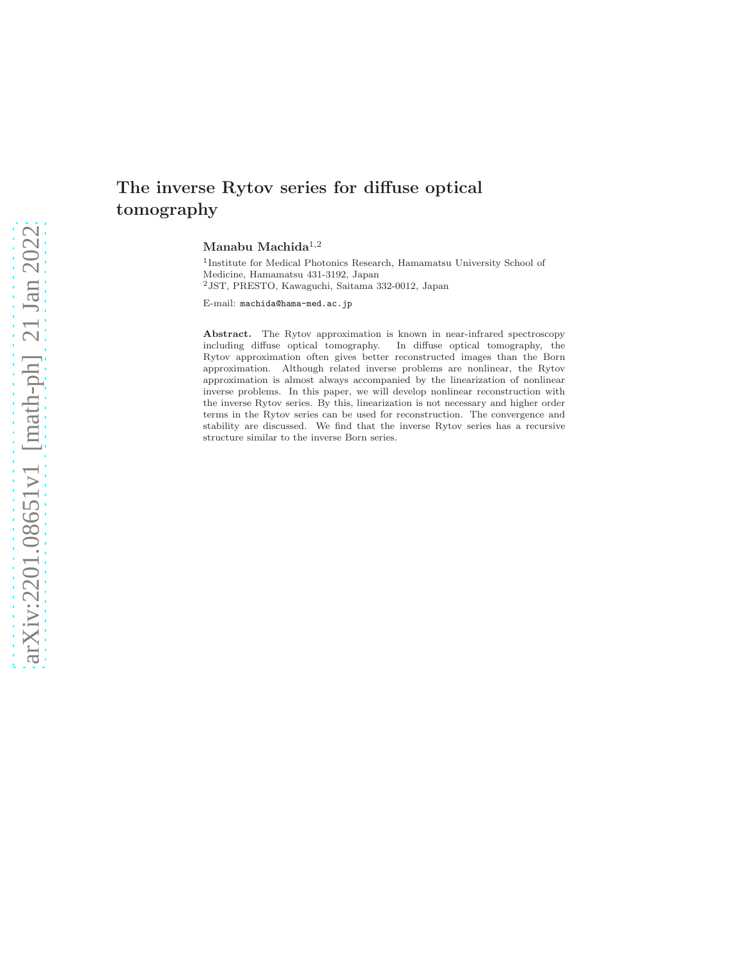# The inverse Rytov series for diffuse optical tomography

Manabu Machida $1,2$ 

<sup>1</sup>Institute for Medical Photonics Research, Hamamatsu University School of Medicine, Hamamatsu 431-3192, Japan  $^2\mathrm{JST,}$ PRESTO, Kawaguchi, Saitama 332-0012, Japan

E-mail: machida@hama-med.ac.jp

Abstract. The Rytov approximation is known in near-infrared spectroscopy including diffuse optical tomography. In diffuse optical tomography, the Rytov approximation often gives better reconstructed images than the Born approximation. Although related inverse problems are nonlinear, the Rytov approximation is almost always accompanied by the linearization of nonlinear inverse problems. In this paper, we will develop nonlinear reconstruction with the inverse Rytov series. By this, linearization is not necessary and higher order terms in the Rytov series can be used for reconstruction. The convergence and stability are discussed. We find that the inverse Rytov series has a recursive structure similar to the inverse Born series.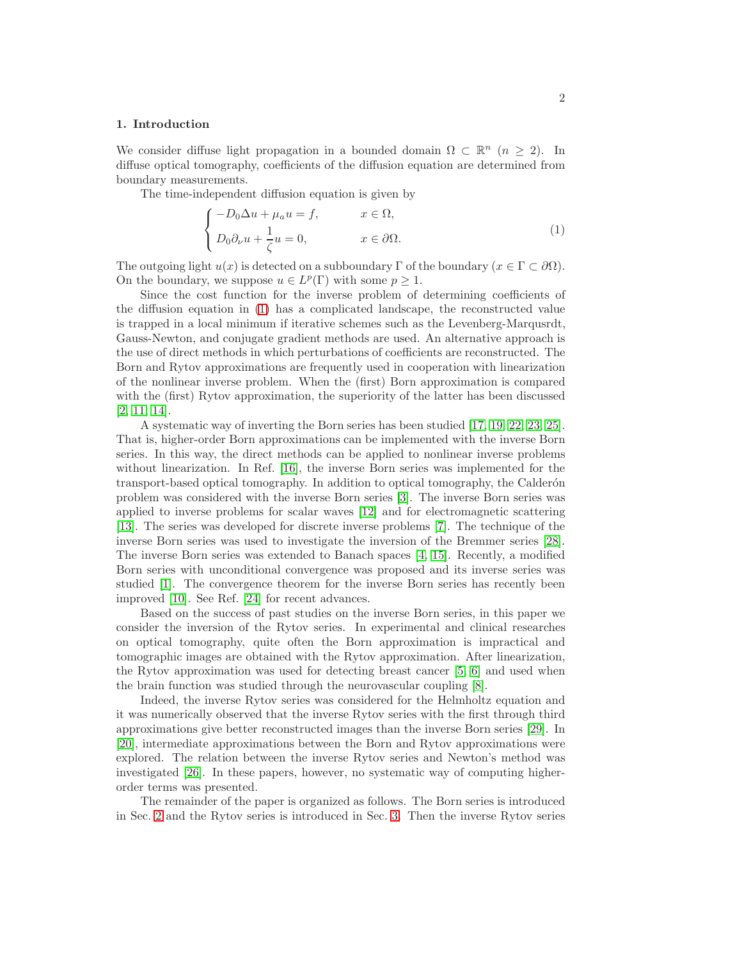## 1. Introduction

We consider diffuse light propagation in a bounded domain  $\Omega \subset \mathbb{R}^n$   $(n \geq 2)$ . In diffuse optical tomography, coefficients of the diffusion equation are determined from boundary measurements.

The time-independent diffusion equation is given by

<span id="page-1-0"></span>
$$
\begin{cases}\n-D_0 \Delta u + \mu_a u = f, & x \in \Omega, \\
D_0 \partial_\nu u + \frac{1}{\zeta} u = 0, & x \in \partial \Omega.\n\end{cases}
$$
\n(1)

The outgoing light  $u(x)$  is detected on a subboundary  $\Gamma$  of the boundary  $(x \in \Gamma \subset \partial \Omega)$ . On the boundary, we suppose  $u \in L^p(\Gamma)$  with some  $p \geq 1$ .

Since the cost function for the inverse problem of determining coefficients of the diffusion equation in [\(1\)](#page-1-0) has a complicated landscape, the reconstructed value is trapped in a local minimum if iterative schemes such as the Levenberg-Marqusrdt, Gauss-Newton, and conjugate gradient methods are used. An alternative approach is the use of direct methods in which perturbations of coefficients are reconstructed. The Born and Rytov approximations are frequently used in cooperation with linearization of the nonlinear inverse problem. When the (first) Born approximation is compared with the (first) Rytov approximation, the superiority of the latter has been discussed [\[2,](#page-13-0) [11,](#page-13-1) [14\]](#page-14-0).

A systematic way of inverting the Born series has been studied [\[17,](#page-14-1) [19,](#page-14-2) [22,](#page-14-3) [23,](#page-14-4) [25\]](#page-14-5). That is, higher-order Born approximations can be implemented with the inverse Born series. In this way, the direct methods can be applied to nonlinear inverse problems without linearization. In Ref. [\[16\]](#page-14-6), the inverse Born series was implemented for the transport-based optical tomography. In addition to optical tomography, the Calderón problem was considered with the inverse Born series [\[3\]](#page-13-2). The inverse Born series was applied to inverse problems for scalar waves [\[12\]](#page-14-7) and for electromagnetic scattering [\[13\]](#page-14-8). The series was developed for discrete inverse problems [\[7\]](#page-13-3). The technique of the inverse Born series was used to investigate the inversion of the Bremmer series [\[28\]](#page-14-9). The inverse Born series was extended to Banach spaces [\[4,](#page-13-4) [15\]](#page-14-10). Recently, a modified Born series with unconditional convergence was proposed and its inverse series was studied [\[1\]](#page-13-5). The convergence theorem for the inverse Born series has recently been improved [\[10\]](#page-13-6). See Ref. [\[24\]](#page-14-11) for recent advances.

Based on the success of past studies on the inverse Born series, in this paper we consider the inversion of the Rytov series. In experimental and clinical researches on optical tomography, quite often the Born approximation is impractical and tomographic images are obtained with the Rytov approximation. After linearization, the Rytov approximation was used for detecting breast cancer [\[5,](#page-13-7) [6\]](#page-13-8) and used when the brain function was studied through the neurovascular coupling [\[8\]](#page-13-9).

Indeed, the inverse Rytov series was considered for the Helmholtz equation and it was numerically observed that the inverse Rytov series with the first through third approximations give better reconstructed images than the inverse Born series [\[29\]](#page-14-12). In [\[20\]](#page-14-13), intermediate approximations between the Born and Rytov approximations were explored. The relation between the inverse Rytov series and Newton's method was investigated [\[26\]](#page-14-14). In these papers, however, no systematic way of computing higherorder terms was presented.

The remainder of the paper is organized as follows. The Born series is introduced in Sec. [2](#page-2-0) and the Rytov series is introduced in Sec. [3.](#page-4-0) Then the inverse Rytov series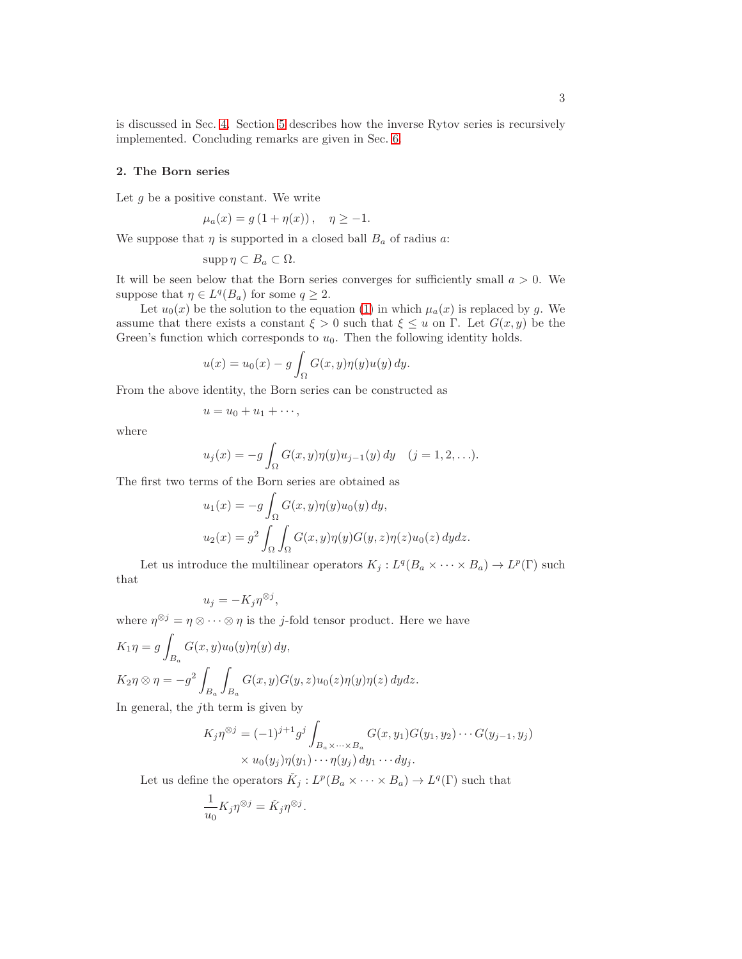is discussed in Sec. [4.](#page-5-0) Section [5](#page-11-0) describes how the inverse Rytov series is recursively implemented. Concluding remarks are given in Sec. [6.](#page-13-10)

#### <span id="page-2-0"></span>2. The Born series

Let  $g$  be a positive constant. We write

$$
\mu_a(x) = g(1 + \eta(x)), \quad \eta \ge -1.
$$

We suppose that  $\eta$  is supported in a closed ball  $B_a$  of radius a:

$$
\mathrm{supp}\,\eta\subset B_a\subset\Omega.
$$

It will be seen below that the Born series converges for sufficiently small  $a > 0$ . We suppose that  $\eta \in L^q(B_a)$  for some  $q \geq 2$ .

Let  $u_0(x)$  be the solution to the equation [\(1\)](#page-1-0) in which  $\mu_a(x)$  is replaced by g. We assume that there exists a constant  $\xi > 0$  such that  $\xi \leq u$  on  $\Gamma$ . Let  $G(x, y)$  be the Green's function which corresponds to  $u_0$ . Then the following identity holds.

$$
u(x) = u_0(x) - g \int_{\Omega} G(x, y) \eta(y) u(y) dy.
$$

From the above identity, the Born series can be constructed as

$$
u=u_0+u_1+\cdots,
$$

where

$$
u_j(x) = -g \int_{\Omega} G(x, y) \eta(y) u_{j-1}(y) dy
$$
  $(j = 1, 2, ...).$ 

The first two terms of the Born series are obtained as

$$
u_1(x) = -g \int_{\Omega} G(x, y) \eta(y) u_0(y) dy,
$$
  

$$
u_2(x) = g^2 \int_{\Omega} \int_{\Omega} G(x, y) \eta(y) G(y, z) \eta(z) u_0(z) dy dz.
$$

Let us introduce the multilinear operators  $K_j: L^q(B_a \times \cdots \times B_a) \to L^p(\Gamma)$  such that

$$
u_j = -K_j \eta^{\otimes j},
$$

where  $\eta^{\otimes j} = \eta \otimes \cdots \otimes \eta$  is the *j*-fold tensor product. Here we have

$$
K_1 \eta = g \int_{B_a} G(x, y) u_0(y) \eta(y) dy,
$$
  
\n
$$
K_2 \eta \otimes \eta = -g^2 \int_{B_a} \int_{B_a} G(x, y) G(y, z) u_0(z) \eta(y) \eta(z) dy dz.
$$

In general, the  $j$ th term is given by

$$
K_j \eta^{\otimes j} = (-1)^{j+1} g^j \int_{B_a \times \dots \times B_a} G(x, y_1) G(y_1, y_2) \dots G(y_{j-1}, y_j)
$$
  
 
$$
\times u_0(y_j) \eta(y_1) \dots \eta(y_j) dy_1 \dots dy_j.
$$

Let us define the operators  $\check{K}_j: L^p(B_a \times \cdots \times B_a) \to L^q(\Gamma)$  such that

$$
\frac{1}{u_0} K_j \eta^{\otimes j} = \check{K}_j \eta^{\otimes j}.
$$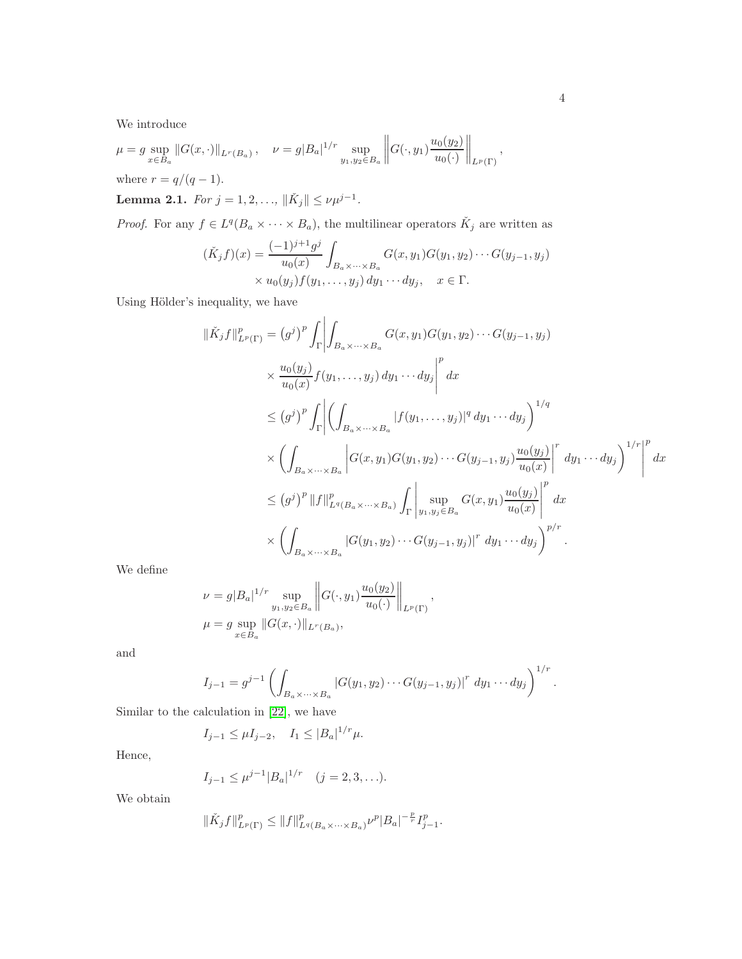We introduce

$$
\mu = g \sup_{x \in B_a} ||G(x, \cdot)||_{L^r(B_a)}, \quad \nu = g|B_a|^{1/r} \sup_{y_1, y_2 \in B_a} ||G(\cdot, y_1)\frac{u_0(y_2)}{u_0(\cdot)}||_{L^p(\Gamma)},
$$

where  $r = q/(q-1)$ .

**Lemma 2.1.** For 
$$
j = 1, 2, ..., ||\tilde{K}_j|| \le \nu \mu^{j-1}
$$
.

*Proof.* For any  $f \in L^q(B_a \times \cdots \times B_a)$ , the multilinear operators  $\check{K}_j$  are written as

$$
(\check{K}_j f)(x) = \frac{(-1)^{j+1} g^j}{u_0(x)} \int_{B_a \times \dots \times B_a} G(x, y_1) G(y_1, y_2) \dots G(y_{j-1}, y_j) \times u_0(y_j) f(y_1, \dots, y_j) dy_1 \dots dy_j, \quad x \in \Gamma.
$$

Using Hölder's inequality, we have

$$
\|\check{K}_{j}f\|_{L^{p}(\Gamma)}^{p} = (g^{j})^{p} \int_{\Gamma} \left| \int_{B_{a} \times \dots \times B_{a}} G(x, y_{1}) G(y_{1}, y_{2}) \dots G(y_{j-1}, y_{j}) \right|
$$
  

$$
\times \frac{u_{0}(y_{j})}{u_{0}(x)} f(y_{1}, \dots, y_{j}) dy_{1} \dots dy_{j} \right|^{p} dx
$$
  

$$
\leq (g^{j})^{p} \int_{\Gamma} \left| \left( \int_{B_{a} \times \dots \times B_{a}} |f(y_{1}, \dots, y_{j})|^{q} dy_{1} \dots dy_{j} \right)^{1/q}
$$
  

$$
\times \left( \int_{B_{a} \times \dots \times B_{a}} \left| G(x, y_{1}) G(y_{1}, y_{2}) \dots G(y_{j-1}, y_{j}) \frac{u_{0}(y_{j})}{u_{0}(x)} \right|^{r} dy_{1} \dots dy_{j} \right)^{1/r} \right|^{p}
$$
  

$$
\leq (g^{j})^{p} \|f\|_{L^{q}(B_{a} \times \dots \times B_{a})}^{p} \int_{\Gamma} \left| \sup_{y_{1}, y_{j} \in B_{a}} G(x, y_{1}) \frac{u_{0}(y_{j})}{u_{0}(x)} \right|^{p} dx
$$
  

$$
\times \left( \int_{B_{a} \times \dots \times B_{a}} |G(y_{1}, y_{2}) \dots G(y_{j-1}, y_{j})|^{r} dy_{1} \dots dy_{j} \right)^{p/r}.
$$

We define

$$
\nu = g|B_a|^{1/r} \sup_{y_1, y_2 \in B_a} ||G(\cdot, y_1) \frac{u_0(y_2)}{u_0(\cdot)}||_{L^p(\Gamma)},
$$
  

$$
\mu = g \sup_{x \in B_a} ||G(x, \cdot)||_{L^r(B_a)},
$$

and

$$
I_{j-1} = g^{j-1} \left( \int_{B_a \times \dots \times B_a} |G(y_1, y_2) \cdots G(y_{j-1}, y_j)|^r dy_1 \cdots dy_j \right)^{1/r}
$$

Similar to the calculation in [\[22\]](#page-14-3), we have

$$
I_{j-1} \leq \mu I_{j-2}, \quad I_1 \leq |B_a|^{1/r} \mu.
$$

Hence,

$$
I_{j-1} \le \mu^{j-1} |B_a|^{1/r}
$$
  $(j = 2, 3, ...).$ 

We obtain

$$
\|\check K_jf\|_{L^p(\Gamma)}^p\leq\|f\|_{L^q(B_a\times\cdots\times B_a)}^p\nu^p|B_a|^{-\frac{p}{r}}I_{j-1}^p.
$$

.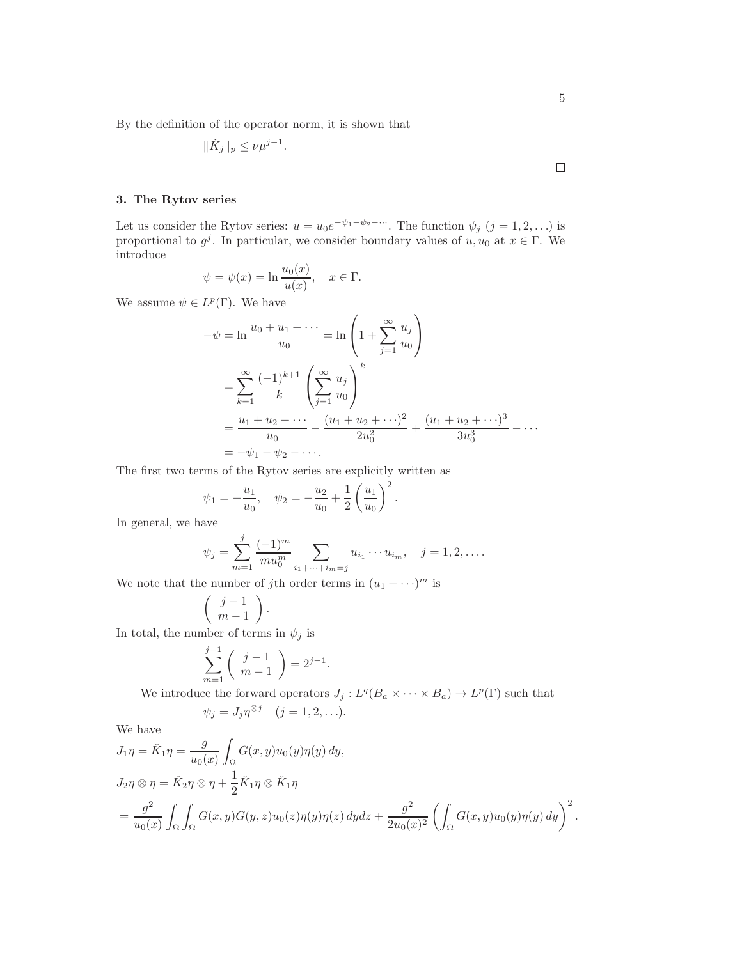By the definition of the operator norm, it is shown that

$$
\|\check{K}_j\|_p \le \nu \mu^{j-1}.
$$

# <span id="page-4-0"></span>3. The Rytov series

Let us consider the Rytov series:  $u = u_0 e^{-\psi_1 - \psi_2 - \cdots}$ . The function  $\psi_j$   $(j = 1, 2, \ldots)$  is proportional to  $g^j$ . In particular, we consider boundary values of  $u, u_0$  at  $x \in \Gamma$ . We introduce

$$
\psi = \psi(x) = \ln \frac{u_0(x)}{u(x)}, \quad x \in \Gamma.
$$

We assume  $\psi \in L^p(\Gamma)$ . We have

$$
-\psi = \ln \frac{u_0 + u_1 + \dots}{u_0} = \ln \left( 1 + \sum_{j=1}^{\infty} \frac{u_j}{u_0} \right)
$$
  
= 
$$
\sum_{k=1}^{\infty} \frac{(-1)^{k+1}}{k} \left( \sum_{j=1}^{\infty} \frac{u_j}{u_0} \right)^k
$$
  
= 
$$
\frac{u_1 + u_2 + \dots}{u_0} - \frac{(u_1 + u_2 + \dots)^2}{2u_0^2} + \frac{(u_1 + u_2 + \dots)^3}{3u_0^3} - \dots
$$
  
= 
$$
-\psi_1 - \psi_2 - \dots
$$

The first two terms of the Rytov series are explicitly written as

$$
\psi_1 = -\frac{u_1}{u_0}, \quad \psi_2 = -\frac{u_2}{u_0} + \frac{1}{2} \left( \frac{u_1}{u_0} \right)^2.
$$

In general, we have

$$
\psi_j = \sum_{m=1}^j \frac{(-1)^m}{m u_0^m} \sum_{i_1 + \dots + i_m = j} u_{i_1} \cdots u_{i_m}, \quad j = 1, 2, \dots
$$

We note that the number of jth order terms in  $(u_1 + \cdots)^m$  is

$$
\left(\begin{array}{c}j-1\\m-1\end{array}\right).
$$

In total, the number of terms in  $\psi_j$  is

$$
\sum_{m=1}^{j-1} \binom{j-1}{m-1} = 2^{j-1}.
$$

We introduce the forward operators  $J_j: L^q(B_a \times \cdots \times B_a) \to L^p(\Gamma)$  such that

$$
\psi_j = J_j \eta^{\otimes j} \quad (j = 1, 2, \ldots).
$$

We have

$$
J_1 \eta = \check{K}_1 \eta = \frac{g}{u_0(x)} \int_{\Omega} G(x, y) u_0(y) \eta(y) dy,
$$
  
\n
$$
J_2 \eta \otimes \eta = \check{K}_2 \eta \otimes \eta + \frac{1}{2} \check{K}_1 \eta \otimes \check{K}_1 \eta
$$
  
\n
$$
= \frac{g^2}{u_0(x)} \int_{\Omega} \int_{\Omega} G(x, y) G(y, z) u_0(z) \eta(y) \eta(z) dy dz + \frac{g^2}{2u_0(x)^2} \left( \int_{\Omega} G(x, y) u_0(y) \eta(y) dy \right)^2.
$$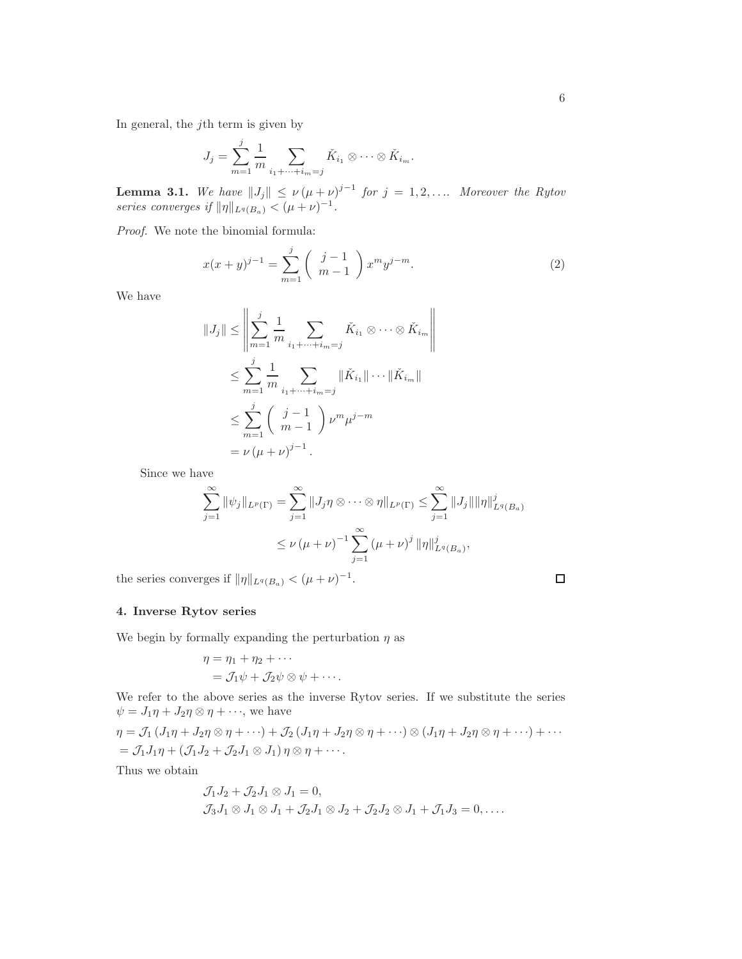In general, the  $j$ <sup>th</sup> term is given by

$$
J_j = \sum_{m=1}^j \frac{1}{m} \sum_{i_1 + \dots + i_m = j} \check{K}_{i_1} \otimes \dots \otimes \check{K}_{i_m}.
$$

**Lemma 3.1.** We have  $||J_j|| \le \nu (\mu + \nu)^{j-1}$  for  $j = 1, 2, \ldots$  Moreover the Rytov series converges if  $\|\eta\|_{L^q(B_a)} < (\mu + \nu)^{-1}$ .

Proof. We note the binomial formula:

<span id="page-5-1"></span>
$$
x(x+y)^{j-1} = \sum_{m=1}^{j} \binom{j-1}{m-1} x^m y^{j-m}.
$$
 (2)

We have

$$
||J_j|| \leq \left\| \sum_{m=1}^j \frac{1}{m} \sum_{i_1 + \dots + i_m = j} \check{K}_{i_1} \otimes \dots \otimes \check{K}_{i_m} \right\|
$$
  

$$
\leq \sum_{m=1}^j \frac{1}{m} \sum_{i_1 + \dots + i_m = j} ||\check{K}_{i_1}|| \dots ||\check{K}_{i_m}||
$$
  

$$
\leq \sum_{m=1}^j \left(\begin{array}{c} j-1\\m-1 \end{array}\right) \nu^m \mu^{j-m}
$$
  

$$
= \nu \left(\mu + \nu\right)^{j-1}.
$$

Since we have

$$
\sum_{j=1}^{\infty} \|\psi_j\|_{L^p(\Gamma)} = \sum_{j=1}^{\infty} \|J_j \eta \otimes \cdots \otimes \eta\|_{L^p(\Gamma)} \le \sum_{j=1}^{\infty} \|J_j\| \|\eta\|_{L^q(B_a)}^j
$$
  

$$
\le \nu (\mu + \nu)^{-1} \sum_{j=1}^{\infty} (\mu + \nu)^j \|\eta\|_{L^q(B_a)}^j,
$$

the series converges if  $\|\eta\|_{L^q(B_a)} < (\mu + \nu)^{-1}$ .

# <span id="page-5-0"></span>4. Inverse Rytov series

We begin by formally expanding the perturbation  $\eta$  as

$$
\eta = \eta_1 + \eta_2 + \cdots
$$
  
=  $\mathcal{J}_1 \psi + \mathcal{J}_2 \psi \otimes \psi + \cdots$ .

We refer to the above series as the inverse Rytov series. If we substitute the series  $\psi = J_1 \eta + J_2 \eta \otimes \eta + \cdots$ , we have

$$
\eta = \mathcal{J}_1 (J_1 \eta + J_2 \eta \otimes \eta + \cdots) + \mathcal{J}_2 (J_1 \eta + J_2 \eta \otimes \eta + \cdots) \otimes (J_1 \eta + J_2 \eta \otimes \eta + \cdots) + \cdots
$$
  
=  $\mathcal{J}_1 J_1 \eta + (\mathcal{J}_1 J_2 + \mathcal{J}_2 J_1 \otimes J_1) \eta \otimes \eta + \cdots$ 

Thus we obtain

$$
\mathcal{J}_1 J_2 + \mathcal{J}_2 J_1 \otimes J_1 = 0,
$$
  
\n
$$
\mathcal{J}_3 J_1 \otimes J_1 \otimes J_1 + \mathcal{J}_2 J_1 \otimes J_2 + \mathcal{J}_2 J_2 \otimes J_1 + \mathcal{J}_1 J_3 = 0, \dots
$$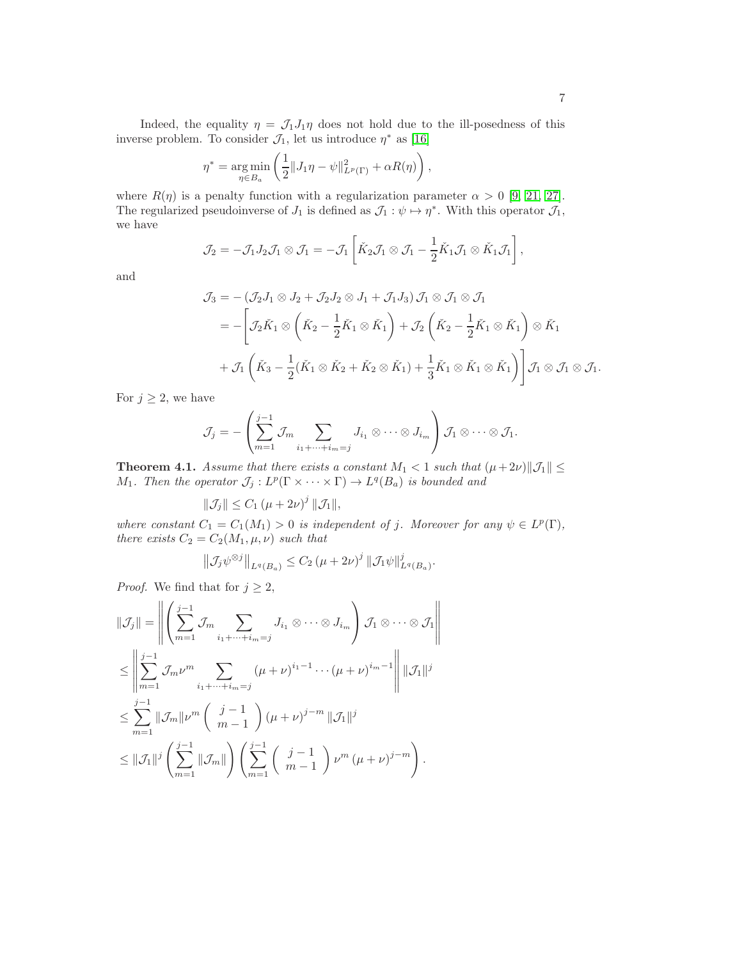Indeed, the equality  $\eta = \mathcal{J}_1 J_1 \eta$  does not hold due to the ill-posedness of this inverse problem. To consider  $\mathcal{J}_1$ , let us introduce  $\eta^*$  as [\[16\]](#page-14-6)

$$
\eta^* = \underset{\eta \in B_a}{\arg \min} \left( \frac{1}{2} \| J_1 \eta - \psi \|_{L^p(\Gamma)}^2 + \alpha R(\eta) \right),
$$

where  $R(\eta)$  is a penalty function with a regularization parameter  $\alpha > 0$  [\[9,](#page-13-11) [21,](#page-14-15) [27\]](#page-14-16). The regularized pseudoinverse of  $J_1$  is defined as  $\mathcal{J}_1 : \psi \mapsto \eta^*$ . With this operator  $\mathcal{J}_1$ , we have

$$
\mathcal{J}_2 = -\mathcal{J}_1 J_2 \mathcal{J}_1 \otimes \mathcal{J}_1 = -\mathcal{J}_1 \left[ \check{K}_2 \mathcal{J}_1 \otimes \mathcal{J}_1 - \frac{1}{2} \check{K}_1 \mathcal{J}_1 \otimes \check{K}_1 \mathcal{J}_1 \right],
$$

and

$$
\mathcal{J}_3 = -(\mathcal{J}_2 J_1 \otimes J_2 + \mathcal{J}_2 J_2 \otimes J_1 + \mathcal{J}_1 J_3) \mathcal{J}_1 \otimes \mathcal{J}_1 \otimes \mathcal{J}_1
$$
  
= 
$$
- \left[ \mathcal{J}_2 \check{K}_1 \otimes \left( \check{K}_2 - \frac{1}{2} \check{K}_1 \otimes \check{K}_1 \right) + \mathcal{J}_2 \left( \check{K}_2 - \frac{1}{2} \check{K}_1 \otimes \check{K}_1 \right) \otimes \check{K}_1
$$
  
+ 
$$
\mathcal{J}_1 \left( \check{K}_3 - \frac{1}{2} (\check{K}_1 \otimes \check{K}_2 + \check{K}_2 \otimes \check{K}_1) + \frac{1}{3} \check{K}_1 \otimes \check{K}_1 \otimes \check{K}_1 \right) \right] \mathcal{J}_1 \otimes \mathcal{J}_1 \otimes \mathcal{J}_1.
$$

For  $j \geq 2$ , we have

$$
\mathcal{J}_j = -\left(\sum_{m=1}^{j-1} \mathcal{J}_m \sum_{i_1 + \dots + i_m = j} J_{i_1} \otimes \dots \otimes J_{i_m}\right) \mathcal{J}_1 \otimes \dots \otimes \mathcal{J}_1.
$$

<span id="page-6-0"></span>**Theorem 4.1.** Assume that there exists a constant  $M_1 < 1$  such that  $(\mu + 2\nu) \|\mathcal{J}_1\| \leq$  $M_1$ . Then the operator  $\mathcal{J}_j: L^p(\Gamma \times \cdots \times \Gamma) \to L^q(B_a)$  is bounded and

 $\|\mathcal{J}_j\| \leq C_1 \left(\mu + 2\nu\right)^j \|\mathcal{J}_1\|,$ 

where constant  $C_1 = C_1(M_1) > 0$  is independent of j. Moreover for any  $\psi \in L^p(\Gamma)$ , there exists  $C_2 = C_2(M_1, \mu, \nu)$  such that

$$
\left\|\mathcal{J}_j \psi^{\otimes j}\right\|_{L^q(B_a)} \leq C_2 \left(\mu + 2\nu\right)^j \|\mathcal{J}_1 \psi\|_{L^q(B_a)}^j.
$$

*Proof.* We find that for  $j \geq 2$ ,

$$
\|\mathcal{J}_j\| = \left\| \left( \sum_{m=1}^{j-1} \mathcal{J}_m \sum_{i_1 + \dots + i_m = j} J_{i_1} \otimes \dots \otimes J_{i_m} \right) \mathcal{J}_1 \otimes \dots \otimes \mathcal{J}_1 \right\|
$$
  
\n
$$
\leq \left\| \sum_{m=1}^{j-1} \mathcal{J}_m \nu^m \sum_{i_1 + \dots + i_m = j} (\mu + \nu)^{i_1 - 1} \dots (\mu + \nu)^{i_m - 1} \right\| \|\mathcal{J}_1\|^j
$$
  
\n
$$
\leq \sum_{m=1}^{j-1} \|\mathcal{J}_m\| \nu^m \left( \frac{j-1}{m-1} \right) (\mu + \nu)^{j-m} \|\mathcal{J}_1\|^j
$$
  
\n
$$
\leq \|\mathcal{J}_1\|^j \left( \sum_{m=1}^{j-1} \|\mathcal{J}_m\| \right) \left( \sum_{m=1}^{j-1} \left( \frac{j-1}{m-1} \right) \nu^m (\mu + \nu)^{j-m} \right).
$$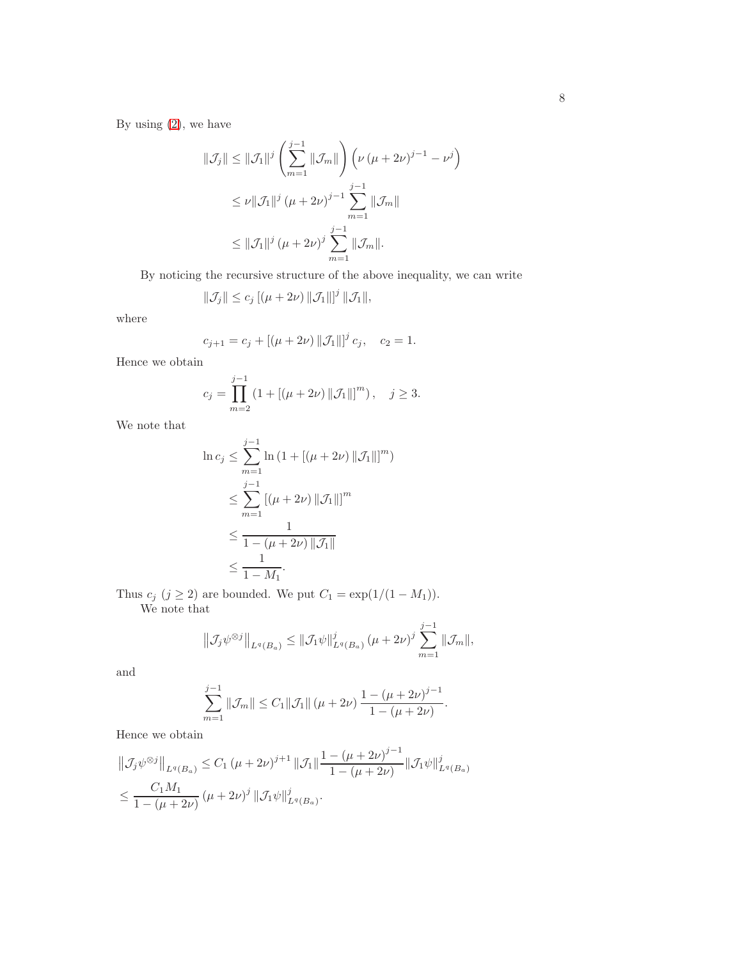By using  $(2)$ , we have

$$
\|\mathcal{J}_j\| \le \|\mathcal{J}_1\|^j \left(\sum_{m=1}^{j-1} \|\mathcal{J}_m\|\right) \left(\nu \left(\mu + 2\nu\right)^{j-1} - \nu^j\right)
$$
  

$$
\le \nu \|\mathcal{J}_1\|^j \left(\mu + 2\nu\right)^{j-1} \sum_{m=1}^{j-1} \|\mathcal{J}_m\|
$$
  

$$
\le \|\mathcal{J}_1\|^j \left(\mu + 2\nu\right)^j \sum_{m=1}^{j-1} \|\mathcal{J}_m\|.
$$

By noticing the recursive structure of the above inequality, we can write

$$
\|\mathcal{J}_j\| \le c_j \left[ (\mu + 2\nu) \|\mathcal{J}_1\| \right]^j \|\mathcal{J}_1\|,
$$

where

$$
c_{j+1} = c_j + [(\mu + 2\nu) \| \mathcal{J}_1 \|]^{j} c_j, \quad c_2 = 1.
$$

Hence we obtain

$$
c_j = \prod_{m=2}^{j-1} (1 + [(\mu + 2\nu) ||\mathcal{J}_1||]^m), \quad j \ge 3.
$$

We note that

$$
\ln c_j \leq \sum_{m=1}^{j-1} \ln (1 + [(\mu + 2\nu) ||\mathcal{J}_1||]^m)
$$
  
\n
$$
\leq \sum_{m=1}^{j-1} [(\mu + 2\nu) ||\mathcal{J}_1||]^m
$$
  
\n
$$
\leq \frac{1}{1 - (\mu + 2\nu) ||\mathcal{J}_1||}
$$
  
\n
$$
\leq \frac{1}{1 - M_1}.
$$

Thus  $c_j$  ( $j \geq 2$ ) are bounded. We put  $C_1 = \exp(1/(1 - M_1)).$ We note that

$$
\left\| \mathcal{J}_{j} \psi^{\otimes j} \right\|_{L^{q}(B_{a})} \leq \left\| \mathcal{J}_{1} \psi \right\|_{L^{q}(B_{a})}^{j} (\mu + 2\nu)^{j} \sum_{m=1}^{j-1} \left\| \mathcal{J}_{m} \right\|,
$$

and

$$
\sum_{m=1}^{j-1} \|\mathcal{J}_m\| \le C_1 \|\mathcal{J}_1\| \left(\mu + 2\nu\right) \frac{1 - \left(\mu + 2\nu\right)^{j-1}}{1 - \left(\mu + 2\nu\right)}.
$$

Hence we obtain

$$
\|\mathcal{J}_j \psi^{\otimes j}\|_{L^q(B_a)} \le C_1 (\mu + 2\nu)^{j+1} \|\mathcal{J}_1\| \frac{1 - (\mu + 2\nu)^{j-1}}{1 - (\mu + 2\nu)} \|\mathcal{J}_1 \psi\|_{L^q(B_a)}^j
$$
  

$$
\le \frac{C_1 M_1}{1 - (\mu + 2\nu)} (\mu + 2\nu)^j \|\mathcal{J}_1 \psi\|_{L^q(B_a)}^j.
$$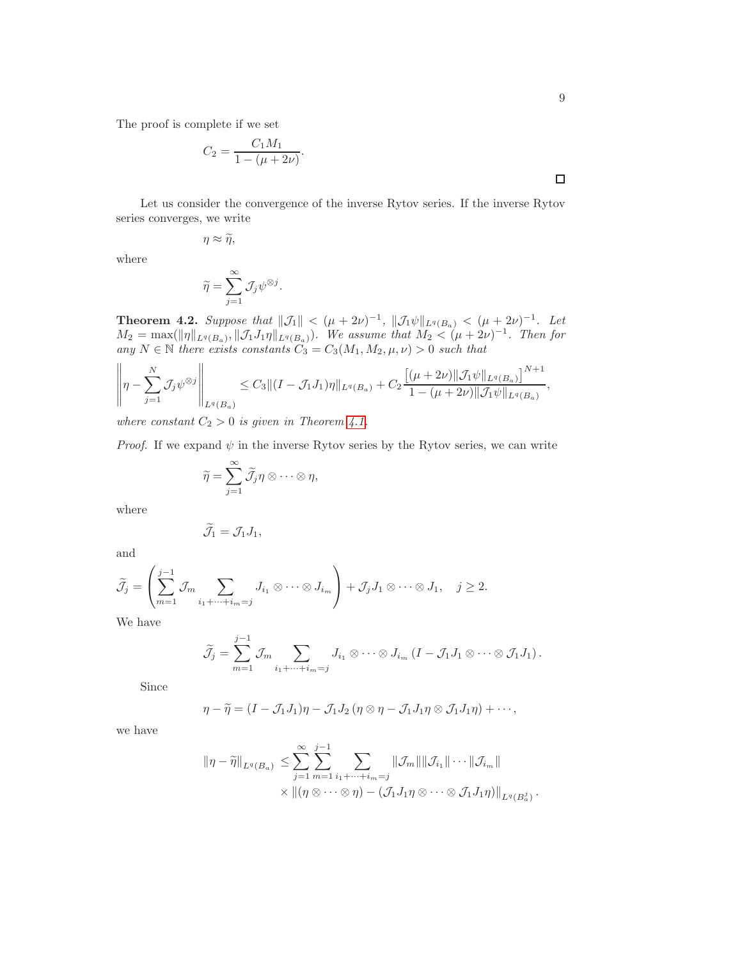The proof is complete if we set

$$
C_2 = \frac{C_1 M_1}{1 - (\mu + 2\nu)}.
$$

Let us consider the convergence of the inverse Rytov series. If the inverse Rytov series converges, we write

$$
\eta \approx \widetilde{\eta},
$$

where

$$
\widetilde{\eta} = \sum_{j=1}^{\infty} \mathcal{J}_j \psi^{\otimes j}.
$$

**Theorem 4.2.** Suppose that  $||\mathcal{J}_1|| < (\mu + 2\nu)^{-1}$ ,  $||\mathcal{J}_1\psi||_{L^q(B_\alpha)} < (\mu + 2\nu)^{-1}$ . Let  $M_2 = \max(||\eta||_{L^q(B_a)}, ||\mathcal{J}_1 J_1 \eta||_{L^q(B_a)}).$  We assume that  $M_2 < (\mu + 2\nu)^{-1}$ . Then for any  $N \in \mathbb{N}$  there exists constants  $C_3 = C_3(M_1, M_2, \mu, \nu) > 0$  such that

$$
\left\|\eta - \sum_{j=1}^N \mathcal{J}_j \psi^{\otimes j} \right\|_{L^q(B_a)} \leq C_3 \|(I - \mathcal{J}_1 J_1)\eta\|_{L^q(B_a)} + C_2 \frac{\left[ (\mu + 2\nu) \|\mathcal{J}_1 \psi\|_{L^q(B_a)} \right]^{N+1}}{1 - (\mu + 2\nu) \|\mathcal{J}_1 \psi\|_{L^q(B_a)}},
$$

where constant  $C_2 > 0$  is given in Theorem [4.1.](#page-6-0)

*Proof.* If we expand  $\psi$  in the inverse Rytov series by the Rytov series, we can write

$$
\widetilde{\eta} = \sum_{j=1}^{\infty} \widetilde{\mathcal{J}}_j \eta \otimes \cdots \otimes \eta,
$$

where

$$
\widetilde{\mathcal{J}}_1=\mathcal{J}_1J_1,
$$

and

$$
\widetilde{\mathcal{J}}_j = \left( \sum_{m=1}^{j-1} \mathcal{J}_m \sum_{i_1 + \dots + i_m = j} J_{i_1} \otimes \dots \otimes J_{i_m} \right) + \mathcal{J}_j J_1 \otimes \dots \otimes J_1, \quad j \ge 2.
$$

We have

$$
\widetilde{J}_j = \sum_{m=1}^{j-1} \mathcal{J}_m \sum_{i_1 + \dots + i_m = j} J_{i_1} \otimes \dots \otimes J_{i_m} (I - \mathcal{J}_1 J_1 \otimes \dots \otimes \mathcal{J}_1 J_1).
$$

Since

$$
\eta - \widetilde{\eta} = (I - \mathcal{J}_1 J_1) \eta - \mathcal{J}_1 J_2 (\eta \otimes \eta - \mathcal{J}_1 J_1 \eta \otimes \mathcal{J}_1 J_1 \eta) + \cdots,
$$

we have

$$
\|\eta - \widetilde{\eta}\|_{L^q(B_a)} \leq \sum_{j=1}^{\infty} \sum_{m=1}^{j-1} \sum_{i_1 + \dots + i_m = j} \|\mathcal{J}_m\| \|\mathcal{J}_{i_1}\| \dots \|\mathcal{J}_{i_m}\|
$$
  
 
$$
\times \|(\eta \otimes \dots \otimes \eta) - (\mathcal{J}_1 J_1 \eta \otimes \dots \otimes \mathcal{J}_1 J_1 \eta)\|_{L^q(B_a^j)}.
$$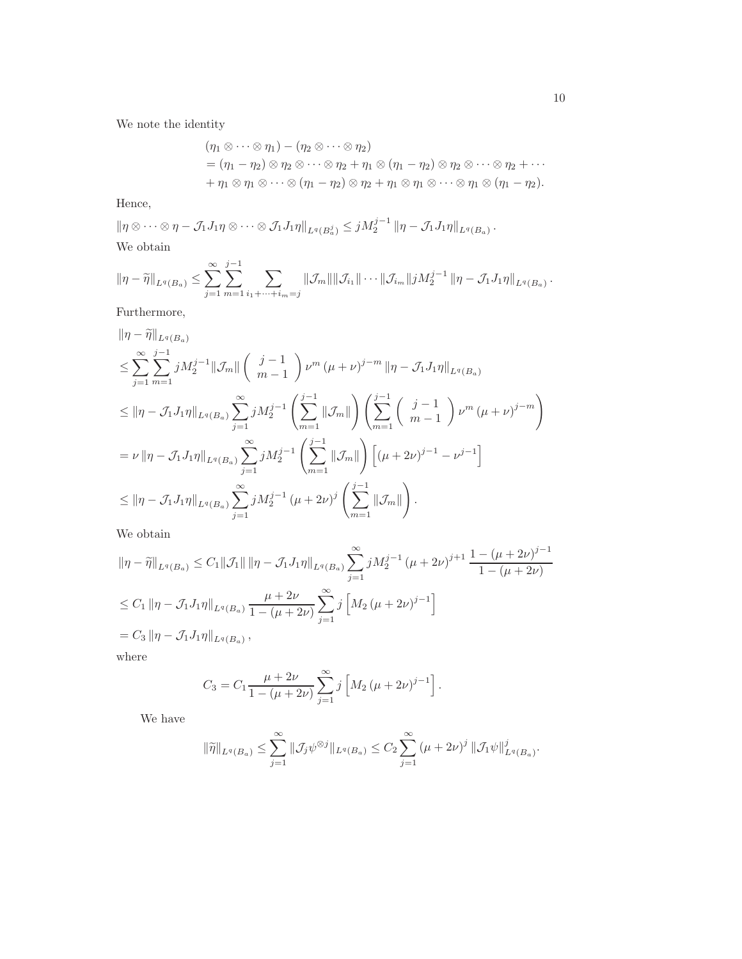We note the identity

$$
(\eta_1 \otimes \cdots \otimes \eta_1) - (\eta_2 \otimes \cdots \otimes \eta_2)
$$
  
=  $(\eta_1 - \eta_2) \otimes \eta_2 \otimes \cdots \otimes \eta_2 + \eta_1 \otimes (\eta_1 - \eta_2) \otimes \eta_2 \otimes \cdots \otimes \eta_2 + \cdots$   
+  $\eta_1 \otimes \eta_1 \otimes \cdots \otimes (\eta_1 - \eta_2) \otimes \eta_2 + \eta_1 \otimes \eta_1 \otimes \cdots \otimes \eta_1 \otimes (\eta_1 - \eta_2).$ 

Hence,

$$
\|\eta \otimes \cdots \otimes \eta - \mathcal{J}_1 J_1 \eta \otimes \cdots \otimes \mathcal{J}_1 J_1 \eta\|_{L^q(B_a^j)} \leq j M_2^{j-1} \|\eta - \mathcal{J}_1 J_1 \eta\|_{L^q(B_a)}.
$$
  
We obtain

We obtain

$$
\|\eta - \widetilde{\eta}\|_{L^q(B_a)} \leq \sum_{j=1}^{\infty} \sum_{m=1}^{j-1} \sum_{i_1 + \dots + i_m = j} \| \mathcal{J}_m \| \| \mathcal{J}_{i_1} \| \dots \| \mathcal{J}_{i_m} \| j M_2^{j-1} \| \eta - \mathcal{J}_1 J_1 \eta \|_{L^q(B_a)}.
$$

Furthermore,

$$
\begin{split}\n\|\eta - \tilde{\eta}\|_{L^{q}(B_{a})} \\
&\leq \sum_{j=1}^{\infty} \sum_{m=1}^{j-1} j M_{2}^{j-1} \|\mathcal{J}_{m}\| \left( \begin{array}{c} j-1\\m-1 \end{array} \right) \nu^{m} \left( \mu + \nu \right)^{j-m} \|\eta - \mathcal{J}_{1} J_{1} \eta\|_{L^{q}(B_{a})} \\
&\leq \|\eta - \mathcal{J}_{1} J_{1} \eta\|_{L^{q}(B_{a})} \sum_{j=1}^{\infty} j M_{2}^{j-1} \left( \sum_{m=1}^{j-1} \|\mathcal{J}_{m}\| \right) \left( \sum_{m=1}^{j-1} \left( \begin{array}{c} j-1\\m-1 \end{array} \right) \nu^{m} \left( \mu + \nu \right)^{j-m} \right) \\
&= \nu \|\eta - \mathcal{J}_{1} J_{1} \eta\|_{L^{q}(B_{a})} \sum_{j=1}^{\infty} j M_{2}^{j-1} \left( \sum_{m=1}^{j-1} \|\mathcal{J}_{m}\| \right) \left[ \left( \mu + 2\nu \right)^{j-1} - \nu^{j-1} \right] \\
&\leq \|\eta - \mathcal{J}_{1} J_{1} \eta\|_{L^{q}(B_{a})} \sum_{j=1}^{\infty} j M_{2}^{j-1} \left( \mu + 2\nu \right)^{j} \left( \sum_{m=1}^{j-1} \|\mathcal{J}_{m}\| \right).\n\end{split}
$$

We obtain

$$
\begin{aligned}\n\|\eta - \tilde{\eta}\|_{L^{q}(B_{a})} &\leq C_{1} \|\mathcal{J}_{1}\| \|\eta - \mathcal{J}_{1}J_{1}\eta\|_{L^{q}(B_{a})} \sum_{j=1}^{\infty} j M_{2}^{j-1} \left(\mu + 2\nu\right)^{j+1} \frac{1 - \left(\mu + 2\nu\right)^{j-1}}{1 - \left(\mu + 2\nu\right)} \\
&\leq C_{1} \|\eta - \mathcal{J}_{1}J_{1}\eta\|_{L^{q}(B_{a})} \frac{\mu + 2\nu}{1 - \left(\mu + 2\nu\right)} \sum_{j=1}^{\infty} j \left[M_{2} \left(\mu + 2\nu\right)^{j-1}\right] \\
&= C_{3} \|\eta - \mathcal{J}_{1}J_{1}\eta\|_{L^{q}(B_{a})},\n\end{aligned}
$$

where

$$
C_3 = C_1 \frac{\mu + 2\nu}{1 - (\mu + 2\nu)} \sum_{j=1}^{\infty} j \left[ M_2 (\mu + 2\nu)^{j-1} \right].
$$

We have

$$
\|\widetilde{\eta}\|_{L^{q}(B_{a})} \leq \sum_{j=1}^{\infty} \|\mathcal{J}_{j}\psi^{\otimes j}\|_{L^{q}(B_{a})} \leq C_{2} \sum_{j=1}^{\infty} (\mu+2\nu)^{j} \|\mathcal{J}_{1}\psi\|_{L^{q}(B_{a})}^{j}.
$$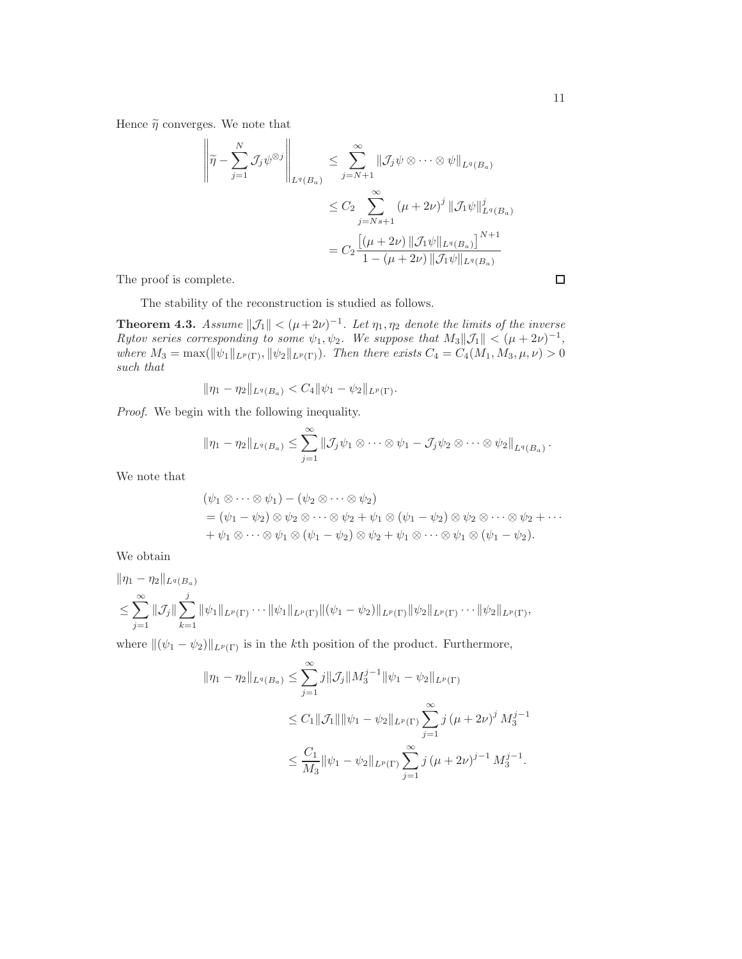Hence  $\widetilde{\eta}$  converges. We note that

$$
\left\| \tilde{\eta} - \sum_{j=1}^{N} \mathcal{J}_{j} \psi^{\otimes j} \right\|_{L^{q}(B_{a})} \leq \sum_{j=N+1}^{\infty} \|\mathcal{J}_{j} \psi \otimes \cdots \otimes \psi\|_{L^{q}(B_{a})}
$$
  

$$
\leq C_{2} \sum_{j=Ns+1}^{\infty} (\mu + 2\nu)^{j} \|\mathcal{J}_{1} \psi\|_{L^{q}(B_{a})}^{j}
$$
  

$$
= C_{2} \frac{\left[ (\mu + 2\nu) \|\mathcal{J}_{1} \psi\|_{L^{q}(B_{a})} \right]^{N+1}}{1 - (\mu + 2\nu) \|\mathcal{J}_{1} \psi\|_{L^{q}(B_{a})}}
$$

The proof is complete.

The stability of the reconstruction is studied as follows.

**Theorem 4.3.** Assume  $||\mathcal{J}_1|| < (\mu + 2\nu)^{-1}$ . Let  $\eta_1, \eta_2$  denote the limits of the inverse Rytov series corresponding to some  $\psi_1, \psi_2$ . We suppose that  $M_3||\mathcal{J}_1|| < (\mu + 2\nu)^{-1}$ , where  $M_3 = \max(\|\psi_1\|_{L^p(\Gamma)}, \|\psi_2\|_{L^p(\Gamma)})$ . Then there exists  $C_4 = C_4(M_1, M_3, \mu, \nu) > 0$ such that

$$
\|\eta_1-\eta_2\|_{L^q(B_a)} < C_4 \|\psi_1-\psi_2\|_{L^p(\Gamma)}.
$$

Proof. We begin with the following inequality.

$$
\|\eta_1-\eta_2\|_{L^q(B_a)}\leq \sum_{j=1}^\infty \|\mathcal{J}_j\psi_1\otimes\cdots\otimes\psi_1-\mathcal{J}_j\psi_2\otimes\cdots\otimes\psi_2\|_{L^q(B_a)}.
$$

We note that

$$
(\psi_1 \otimes \cdots \otimes \psi_1) - (\psi_2 \otimes \cdots \otimes \psi_2)
$$
  
=  $(\psi_1 - \psi_2) \otimes \psi_2 \otimes \cdots \otimes \psi_2 + \psi_1 \otimes (\psi_1 - \psi_2) \otimes \psi_2 \otimes \cdots \otimes \psi_2 + \cdots$   
+  $\psi_1 \otimes \cdots \otimes \psi_1 \otimes (\psi_1 - \psi_2) \otimes \psi_2 + \psi_1 \otimes \cdots \otimes \psi_1 \otimes (\psi_1 - \psi_2).$ 

We obtain

$$
\|\eta_1 - \eta_2\|_{L^q(B_a)}
$$
  
\n
$$
\leq \sum_{j=1}^{\infty} \|\mathcal{J}_j\| \sum_{k=1}^j \|\psi_1\|_{L^p(\Gamma)} \cdots \|\psi_1\|_{L^p(\Gamma)} \|(\psi_1 - \psi_2)\|_{L^p(\Gamma)} \|\psi_2\|_{L^p(\Gamma)} \cdots \|\psi_2\|_{L^p(\Gamma)},
$$

where  $\|(\psi_1 - \psi_2)\|_{L^p(\Gamma)}$  is in the kth position of the product. Furthermore,

$$
\begin{aligned} \|\eta_1 - \eta_2\|_{L^q(B_a)} &\leq \sum_{j=1}^\infty j \|\mathcal{J}_j\| M_3^{j-1} \|\psi_1 - \psi_2\|_{L^p(\Gamma)} \\ &\leq C_1 \|\mathcal{J}_1\| \|\psi_1 - \psi_2\|_{L^p(\Gamma)} \sum_{j=1}^\infty j \left(\mu + 2\nu\right)^j M_3^{j-1} \\ &\leq \frac{C_1}{M_3} \|\psi_1 - \psi_2\|_{L^p(\Gamma)} \sum_{j=1}^\infty j \left(\mu + 2\nu\right)^{j-1} M_3^{j-1} .\end{aligned}
$$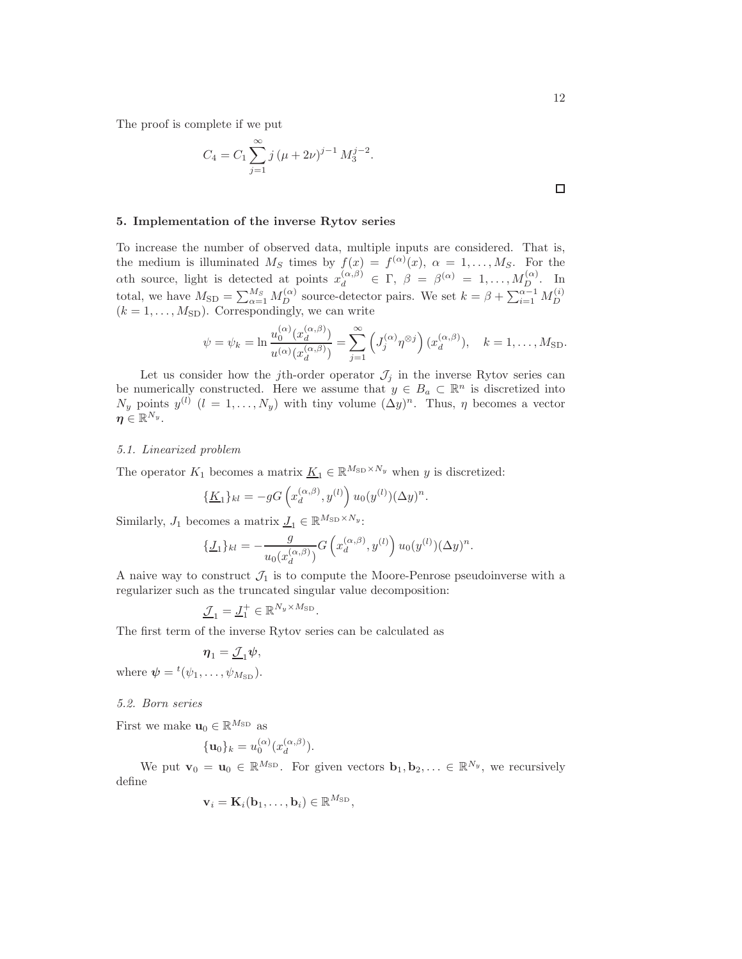The proof is complete if we put

$$
C_4 = C_1 \sum_{j=1}^{\infty} j (\mu + 2\nu)^{j-1} M_3^{j-2}.
$$

## <span id="page-11-0"></span>5. Implementation of the inverse Rytov series

To increase the number of observed data, multiple inputs are considered. That is, the medium is illuminated  $M_S$  times by  $f(x) = f^{(\alpha)}(x)$ ,  $\alpha = 1, \ldots, M_S$ . For the ath source, light is detected at points  $x_d^{(\alpha,\beta)} \in \Gamma$ ,  $\beta = \beta^{(\alpha)} = 1, ..., M_D^{(\alpha)}$ . In total, we have  $M_{\text{SD}} = \sum_{\alpha=1}^{M_S} M_D^{(\alpha)}$  source-detector pairs. We set  $k = \beta + \sum_{i=1}^{\alpha-1} M_D^{(i)}$ boar, we have  $M_{\text{SD}} = \sum_{\alpha=1}^{N} M_D$  source-detector parts. We set  $\kappa = \beta + \sum_{i=1}^{N} M_D$ <br>( $k = 1, ..., M_{\text{SD}}$ ). Correspondingly, we can write

$$
\psi = \psi_k = \ln \frac{u_0^{(\alpha)}(x_d^{(\alpha,\beta)})}{u^{(\alpha)}(x_d^{(\alpha,\beta)})} = \sum_{j=1}^{\infty} \left( J_j^{(\alpha)} \eta^{\otimes j} \right) (x_d^{(\alpha,\beta)}), \quad k = 1, \dots, M_{\text{SD}}.
$$

Let us consider how the jth-order operator  $\mathcal{J}_j$  in the inverse Rytov series can be numerically constructed. Here we assume that  $y \in B_a \subset \mathbb{R}^n$  is discretized into  $N_y$  points  $y^{(l)}$   $(l = 1, ..., N_y)$  with tiny volume  $(\Delta y)^n$ . Thus,  $\eta$  becomes a vector  $\pmb{\eta}\in\mathbb{R}^{N_y}.$ 

#### 5.1. Linearized problem

The operator  $K_1$  becomes a matrix  $\underline{K}_1 \in \mathbb{R}^{M_{\text{SD}} \times N_y}$  when y is discretized:

$$
\{\underline{K}_1\}_{{kl}} = -gG\left(x_d^{(\alpha,\beta)}, y^{(l)}\right)u_0(y^{(l)}) (\Delta y)^n.
$$

Similarly,  $J_1$  becomes a matrix  $\underline{J}_1 \in \mathbb{R}^{M_{\text{SD}} \times N_y}$ :

$$
\{\underline{J}_1\}_{kl} = -\frac{g}{u_0(x_d^{(\alpha,\beta)})} G\left(x_d^{(\alpha,\beta)}, y^{(l)}\right) u_0(y^{(l)}) (\Delta y)^n.
$$

A naive way to construct  $\mathcal{J}_1$  is to compute the Moore-Penrose pseudoinverse with a regularizer such as the truncated singular value decomposition:

$$
\underline{\mathcal{J}}_1 = \underline{J}_1^+ \in \mathbb{R}^{N_y \times M_{\textrm{SD}}}.
$$

The first term of the inverse Rytov series can be calculated as

$$
\boldsymbol{\eta}_1 = \underline{\mathcal{J}}_1 \boldsymbol{\psi},
$$

where  $\boldsymbol{\psi} = {}^{t}(\psi_1, \ldots, \psi_{M_{\text{SD}}}).$ 

#### 5.2. Born series

First we make  $\mathbf{u}_0 \in \mathbb{R}^{M_{\text{SD}}}$  as

$$
\{\mathbf u_0\}_k = u_0^{(\alpha)}(x_d^{(\alpha,\beta)}).
$$

We put  $\mathbf{v}_0 = \mathbf{u}_0 \in \mathbb{R}^{M_{\text{SD}}}$ . For given vectors  $\mathbf{b}_1, \mathbf{b}_2, \ldots \in \mathbb{R}^{N_y}$ , we recursively define

$$
\mathbf{v}_i = \mathbf{K}_i(\mathbf{b}_1, \dots, \mathbf{b}_i) \in \mathbb{R}^{M_{\text{SD}}},
$$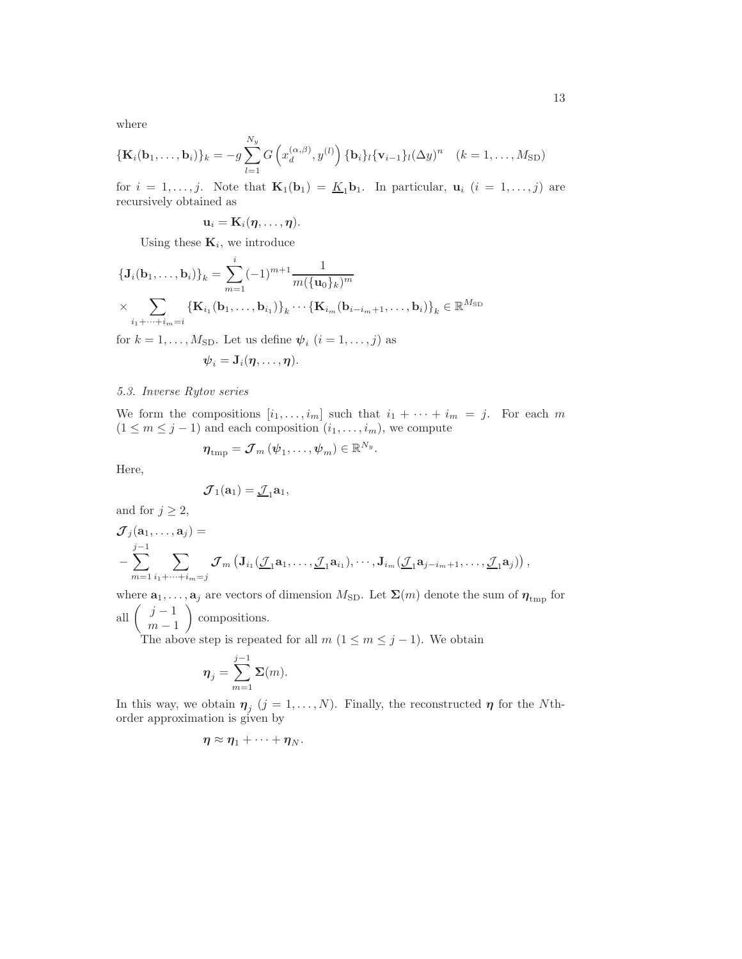where

$$
\{\mathbf{K}_i(\mathbf{b}_1,\ldots,\mathbf{b}_i)\}_k = -g\sum_{l=1}^{N_y} G\left(x_d^{(\alpha,\beta)},y^{(l)}\right) \{\mathbf{b}_i\}_l \{\mathbf{v}_{i-1}\}_l (\Delta y)^n \quad (k=1,\ldots,M_{\text{SD}})
$$

for  $i = 1, \ldots, j$ . Note that  $\mathbf{K}_1(\mathbf{b}_1) = \underline{K}_1 \mathbf{b}_1$ . In particular,  $\mathbf{u}_i$   $(i = 1, \ldots, j)$  are recursively obtained as

$$
\mathbf{u}_i = \mathbf{K}_i(\boldsymbol{\eta},\ldots,\boldsymbol{\eta}).
$$

Using these  $\mathbf{K}_i$ , we introduce

$$
\left\{ \mathbf{J}_{i}(\mathbf{b}_{1},...,\mathbf{b}_{i}) \right\}_{k} = \sum_{m=1}^{i} (-1)^{m+1} \frac{1}{m(\{\mathbf{u}_{0}\}_{k})^{m}}
$$

$$
\times \sum_{i_{1}+...+i_{m}=i} \left\{ \mathbf{K}_{i_{1}}(\mathbf{b}_{1},...,\mathbf{b}_{i_{1}}) \right\}_{k} \cdots \left\{ \mathbf{K}_{i_{m}}(\mathbf{b}_{i-i_{m}+1},..., \mathbf{b}_{i}) \right\}_{k} \in \mathbb{R}^{M_{\text{SD}}}
$$

for  $k = 1, \ldots, M_{SD}$ . Let us define  $\psi_i$   $(i = 1, \ldots, j)$  as

$$
\boldsymbol{\psi}_i = \mathbf{J}_i(\boldsymbol{\eta},\ldots,\boldsymbol{\eta}).
$$

## 5.3. Inverse Rytov series

We form the compositions  $[i_1, \ldots, i_m]$  such that  $i_1 + \cdots + i_m = j$ . For each m  $(1 \leq m \leq j-1)$  and each composition  $(i_1, \ldots, i_m)$ , we compute

$$
\boldsymbol{\eta}_{\text{tmp}} = \boldsymbol{\mathcal{J}}_m \left(\boldsymbol{\psi}_1, \dots, \boldsymbol{\psi}_m \right) \in \mathbb{R}^{N_y}.
$$

Here,

$$
\boldsymbol{\mathcal{J}}_1(\mathbf{a}_1)=\underline{\boldsymbol{\mathcal{J}}}_1\mathbf{a}_1,
$$

and for  $j \geq 2$ ,

$$
\mathcal{J}_j(\mathbf{a}_1,\ldots,\mathbf{a}_j) =
$$
  

$$
-\sum_{m=1}^{j-1} \sum_{i_1+\cdots+i_m=j} \mathcal{J}_m \left( \mathbf{J}_{i_1}(\underline{\mathcal{J}}_1\mathbf{a}_1,\ldots,\underline{\mathcal{J}}_1\mathbf{a}_{i_1}),\cdots,\mathbf{J}_{i_m}(\underline{\mathcal{J}}_1\mathbf{a}_{j-i_m+1},\ldots,\underline{\mathcal{J}}_1\mathbf{a}_j) \right),
$$

where  $\mathbf{a}_1, \ldots, \mathbf{a}_j$  are vectors of dimension  $M_{\text{SD}}$ . Let  $\mathbf{\Sigma}(m)$  denote the sum of  $\boldsymbol{\eta}_{\text{tmp}}$  for all  $\left(\begin{array}{c}j-1\\m\end{array}\right)$  $m-1$  $\setminus$ compositions.

The above step is repeated for all  $m$  ( $1 \leq m \leq j-1$ ). We obtain

$$
\boldsymbol{\eta}_j = \sum_{m=1}^{j-1} \boldsymbol{\Sigma}(m).
$$

In this way, we obtain  $\eta_j$   $(j = 1, ..., N)$ . Finally, the reconstructed  $\eta$  for the Nthorder approximation is given by

$$
\boldsymbol{\eta} \approx \boldsymbol{\eta}_1 + \cdots + \boldsymbol{\eta}_N.
$$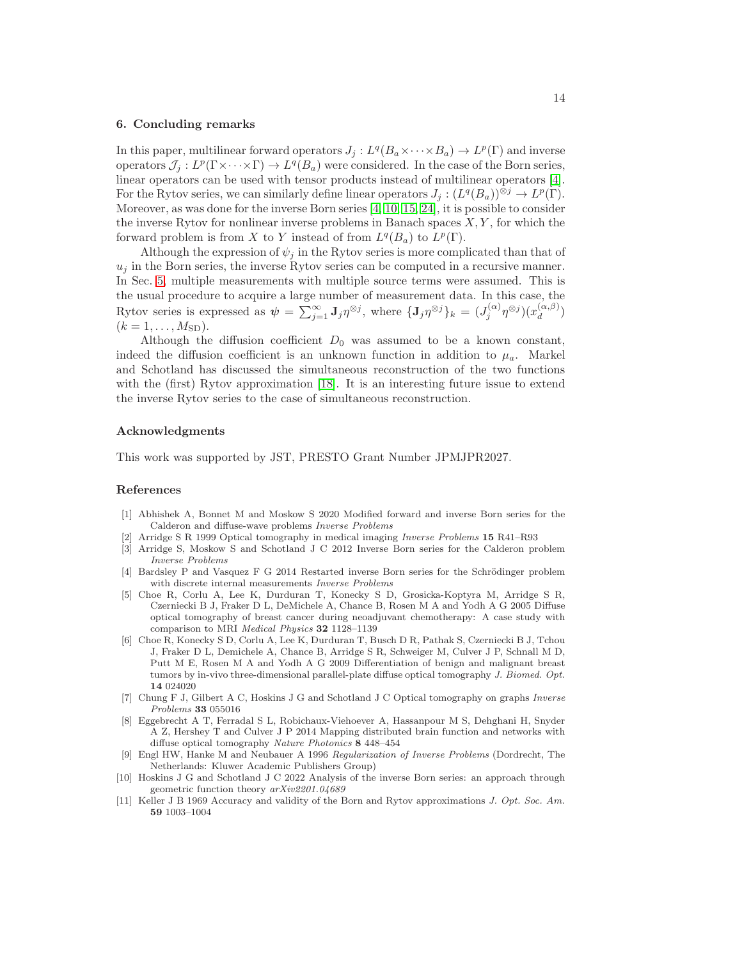#### <span id="page-13-10"></span>6. Concluding remarks

In this paper, multilinear forward operators  $J_j: L^q(B_a \times \cdots \times B_a) \to L^p(\Gamma)$  and inverse operators  $\mathcal{J}_j: L^p(\Gamma \times \cdots \times \Gamma) \to L^q(B_a)$  were considered. In the case of the Born series, linear operators can be used with tensor products instead of multilinear operators [\[4\]](#page-13-4). For the Rytov series, we can similarly define linear operators  $J_j : (L^q(B_a))^{\otimes j} \to L^p(\Gamma)$ . Moreover, as was done for the inverse Born series [\[4,](#page-13-4) [10,](#page-13-6) [15,](#page-14-10) [24\]](#page-14-11), it is possible to consider the inverse Rytov for nonlinear inverse problems in Banach spaces  $X, Y$ , for which the forward problem is from X to Y instead of from  $L^q(B_a)$  to  $L^p(\Gamma)$ .

Although the expression of  $\psi_j$  in the Rytov series is more complicated than that of  $u_j$  in the Born series, the inverse Rytov series can be computed in a recursive manner. In Sec. [5,](#page-11-0) multiple measurements with multiple source terms were assumed. This is the usual procedure to acquire a large number of measurement data. In this case, the Rytov series is expressed as  $\psi = \sum_{j=1}^{\infty} \mathbf{J}_j \eta^{\otimes j}$ , where  $\{\mathbf{J}_j \eta^{\otimes j}\}_k = (J_j^{(\alpha)})$  $(j^{(\alpha)}\eta^{\otimes j})(x_d^{(\alpha,\beta)})$  $\binom{(\alpha,\beta)}{d}$  $(k = 1, \ldots, M_{SD})$ .

Although the diffusion coefficient  $D_0$  was assumed to be a known constant, indeed the diffusion coefficient is an unknown function in addition to  $\mu_a$ . Markel and Schotland has discussed the simultaneous reconstruction of the two functions with the (first) Rytov approximation [\[18\]](#page-14-17). It is an interesting future issue to extend the inverse Rytov series to the case of simultaneous reconstruction.

#### Acknowledgments

This work was supported by JST, PRESTO Grant Number JPMJPR2027.

#### References

- <span id="page-13-5"></span>[1] Abhishek A, Bonnet M and Moskow S 2020 Modified forward and inverse Born series for the Calderon and diffuse-wave problems Inverse Problems
- <span id="page-13-2"></span><span id="page-13-0"></span>[2] Arridge S R 1999 Optical tomography in medical imaging Inverse Problems 15 R41–R93
- <span id="page-13-4"></span>[3] Arridge S, Moskow S and Schotland J C 2012 Inverse Born series for the Calderon problem Inverse Problems
- <span id="page-13-7"></span>[4] Bardsley P and Vasquez F G 2014 Restarted inverse Born series for the Schrödinger problem with discrete internal measurements Inverse Problems
- [5] Choe R, Corlu A, Lee K, Durduran T, Konecky S D, Grosicka-Koptyra M, Arridge S R, Czerniecki B J, Fraker D L, DeMichele A, Chance B, Rosen M A and Yodh A G 2005 Diffuse optical tomography of breast cancer during neoadjuvant chemotherapy: A case study with comparison to MRI Medical Physics 32 1128–1139
- <span id="page-13-8"></span>[6] Choe R, Konecky S D, Corlu A, Lee K, Durduran T, Busch D R, Pathak S, Czerniecki B J, Tchou J, Fraker D L, Demichele A, Chance B, Arridge S R, Schweiger M, Culver J P, Schnall M D, Putt M E, Rosen M A and Yodh A G 2009 Differentiation of benign and malignant breast tumors by in-vivo three-dimensional parallel-plate diffuse optical tomography J. Biomed. Opt. 14 024020
- <span id="page-13-3"></span>[7] Chung F J, Gilbert A C, Hoskins J G and Schotland J C Optical tomography on graphs Inverse Problems 33 055016
- <span id="page-13-9"></span>[8] Eggebrecht A T, Ferradal S L, Robichaux-Viehoever A, Hassanpour M S, Dehghani H, Snyder A Z, Hershey T and Culver J P 2014 Mapping distributed brain function and networks with diffuse optical tomography Nature Photonics 8 448–454
- <span id="page-13-11"></span>[9] Engl HW, Hanke M and Neubauer A 1996 Regularization of Inverse Problems (Dordrecht, The Netherlands: Kluwer Academic Publishers Group)
- <span id="page-13-6"></span>[10] Hoskins J G and Schotland J C 2022 Analysis of the inverse Born series: an approach through geometric function theory arXiv2201.04689
- <span id="page-13-1"></span>[11] Keller J B 1969 Accuracy and validity of the Born and Rytov approximations *J. Opt. Soc. Am.* 59 1003–1004